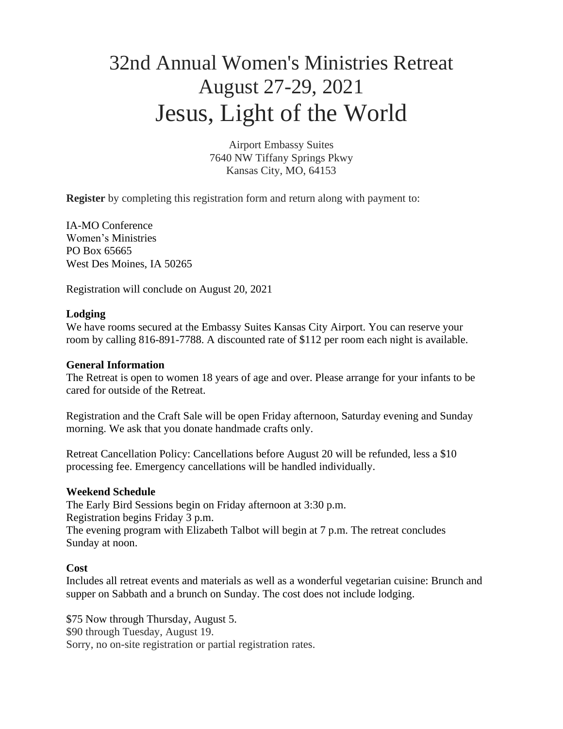# 32nd Annual Women's Ministries Retreat August 27-29, 2021 Jesus, Light of the World

Airport Embassy Suites 7640 NW Tiffany Springs Pkwy Kansas City, MO, 64153

**Register** by completing this registration form and return along with payment to:

IA-MO Conference Women's Ministries PO Box 65665 West Des Moines, IA 50265

Registration will conclude on August 20, 2021

## **Lodging**

We have rooms secured at the Embassy Suites Kansas City Airport. You can reserve your room by calling 816-891-7788. A discounted rate of \$112 per room each night is available.

### **General Information**

The Retreat is open to women 18 years of age and over. Please arrange for your infants to be cared for outside of the Retreat.

Registration and the Craft Sale will be open Friday afternoon, Saturday evening and Sunday morning. We ask that you donate handmade crafts only.

Retreat Cancellation Policy: Cancellations before August 20 will be refunded, less a \$10 processing fee. Emergency cancellations will be handled individually.

## **Weekend Schedule**

The Early Bird Sessions begin on Friday afternoon at 3:30 p.m. Registration begins Friday 3 p.m. The evening program with Elizabeth Talbot will begin at 7 p.m. The retreat concludes Sunday at noon.

## **Cost**

Includes all retreat events and materials as well as a wonderful vegetarian cuisine: Brunch and supper on Sabbath and a brunch on Sunday. The cost does not include lodging.

\$75 Now through Thursday, August 5. \$90 through Tuesday, August 19. Sorry, no on-site registration or partial registration rates.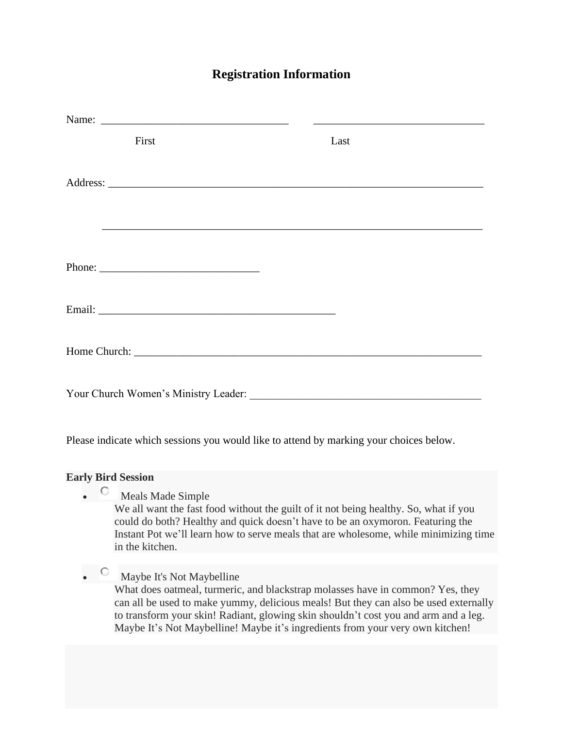# **Registration Information**

| First                                | Last                                                          |
|--------------------------------------|---------------------------------------------------------------|
|                                      |                                                               |
|                                      |                                                               |
|                                      |                                                               |
|                                      |                                                               |
|                                      |                                                               |
|                                      |                                                               |
|                                      |                                                               |
|                                      |                                                               |
|                                      |                                                               |
|                                      |                                                               |
| Your Church Women's Ministry Leader: | <u> 1980 - Johann Barn, fransk politik fotograf (d. 1980)</u> |

Please indicate which sessions you would like to attend by marking your choices below.

## **Early Bird Session**

• C Meals Made Simple

We all want the fast food without the guilt of it not being healthy. So, what if you could do both? Healthy and quick doesn't have to be an oxymoron. Featuring the Instant Pot we'll learn how to serve meals that are wholesome, while minimizing time in the kitchen.

• C Maybe It's Not Maybelline What does oatmeal, turmeric, and blackstrap molasses have in common? Yes, they can all be used to make yummy, delicious meals! But they can also be used externally to transform your skin! Radiant, glowing skin shouldn't cost you and arm and a leg. Maybe It's Not Maybelline! Maybe it's ingredients from your very own kitchen!